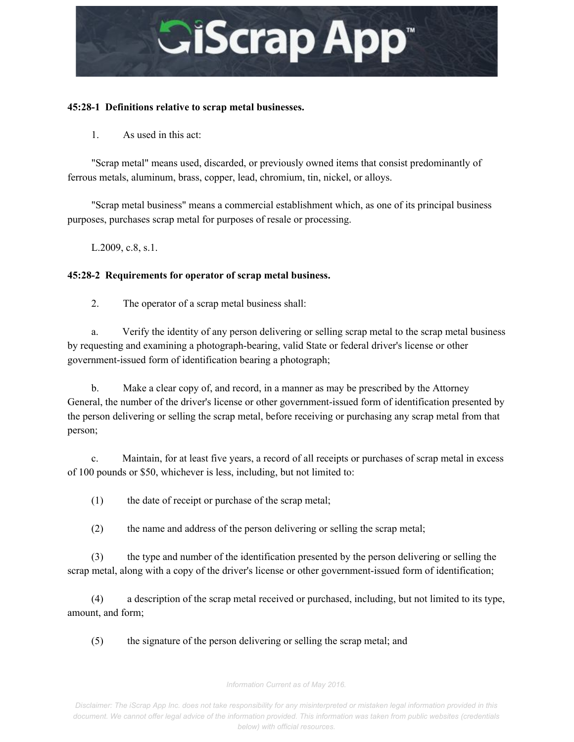

#### **45:281 Definitions relative to scrap metal businesses.**

1. As used in this act:

"Scrap metal" means used, discarded, or previously owned items that consist predominantly of ferrous metals, aluminum, brass, copper, lead, chromium, tin, nickel, or alloys.

"Scrap metal business" means a commercial establishment which, as one of its principal business purposes, purchases scrap metal for purposes of resale or processing.

L.2009, c.8, s.1.

#### **45:282 Requirements for operator of scrap metal business.**

2. The operator of a scrap metal business shall:

a. Verify the identity of any person delivering or selling scrap metal to the scrap metal business by requesting and examining a photograph-bearing, valid State or federal driver's license or other government-issued form of identification bearing a photograph;

b. Make a clear copy of, and record, in a manner as may be prescribed by the Attorney General, the number of the driver's license or other government-issued form of identification presented by the person delivering or selling the scrap metal, before receiving or purchasing any scrap metal from that person;

c. Maintain, for at least five years, a record of all receipts or purchases of scrap metal in excess of 100 pounds or \$50, whichever is less, including, but not limited to:

(1) the date of receipt or purchase of the scrap metal;

(2) the name and address of the person delivering or selling the scrap metal;

(3) the type and number of the identification presented by the person delivering or selling the scrap metal, along with a copy of the driver's license or other government-issued form of identification;

(4) a description of the scrap metal received or purchased, including, but not limited to its type, amount, and form;

(5) the signature of the person delivering or selling the scrap metal; and

*Information Current as of May 2016.*

*Disclaimer: The iScrap App Inc. does not take responsibility for any misinterpreted or mistaken legal information provided in this document. We cannot offer legal advice of the information provided. This information was taken from public websites (credentials below) with official resources.*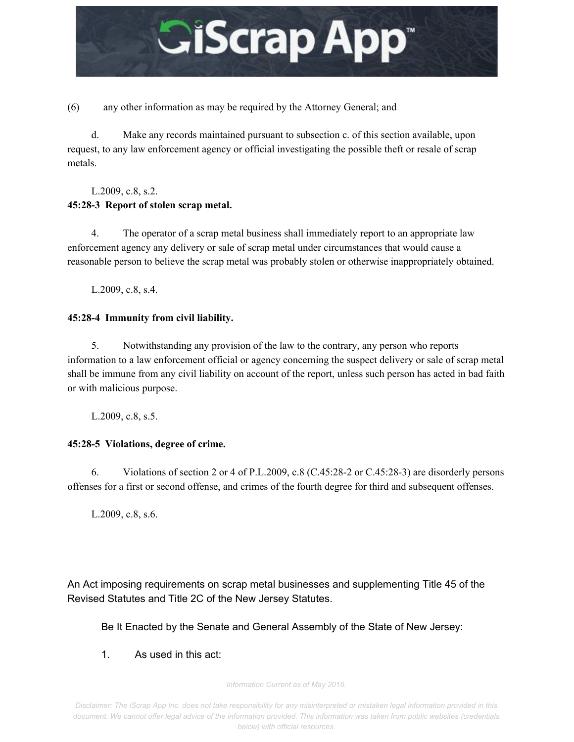

(6) any other information as may be required by the Attorney General; and

d. Make any records maintained pursuant to subsection c. of this section available, upon request, to any law enforcement agency or official investigating the possible theft or resale of scrap metals.

#### L.2009, c.8, s.2. **45:283 Report of stolen scrap metal.**

4. The operator of a scrap metal business shall immediately report to an appropriate law enforcement agency any delivery or sale of scrap metal under circumstances that would cause a reasonable person to believe the scrap metal was probably stolen or otherwise inappropriately obtained.

L.2009, c.8, s.4.

### **45:284 Immunity from civil liability.**

5. Notwithstanding any provision of the law to the contrary, any person who reports information to a law enforcement official or agency concerning the suspect delivery or sale of scrap metal shall be immune from any civil liability on account of the report, unless such person has acted in bad faith or with malicious purpose.

L.2009, c.8, s.5.

## **45:285 Violations, degree of crime.**

6. Violations of section 2 or 4 of P.L.2009, c.8 (C.45:28-2 or C.45:28-3) are disorderly persons offenses for a first or second offense, and crimes of the fourth degree for third and subsequent offenses.

L.2009, c.8, s.6.

An Act imposing requirements on scrap metal businesses and supplementing Title 45 of the Revised Statutes and Title 2C of the New Jersey Statutes.

Be It Enacted by the Senate and General Assembly of the State of New Jersey:

1. As used in this act:

*Information Current as of May 2016.*

*Disclaimer: The iScrap App Inc. does not take responsibility for any misinterpreted or mistaken legal information provided in this document. We cannot offer legal advice of the information provided. This information was taken from public websites (credentials below) with official resources.*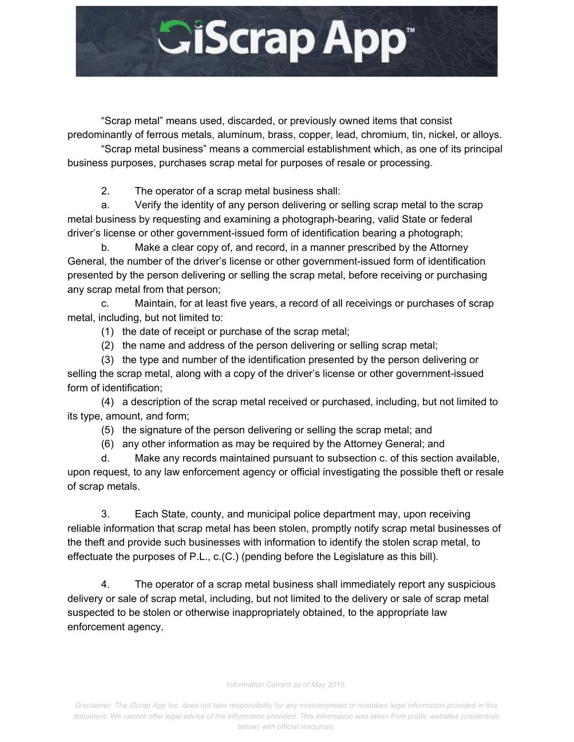

"Scrap metal" means used, discarded, or previously owned items that consist predominantly of ferrous metals, aluminum, brass, copper, lead, chromium, tin, nickel, or alloys.

"Scrap metal business" means a commercial establishment which, as one of its principal business purposes, purchases scrap metal for purposes of resale or processing.

2. The operator of a scrap metal business shall:

a. Verify the identity of any person delivering or selling scrap metal to the scrap metal business by requesting and examining a photograph-bearing, valid State or federal driver's license or other government-issued form of identification bearing a photograph;

b. Make a clear copy of, and record, in a manner prescribed by the Attorney General, the number of the driver's license or other government-issued form of identification presented by the person delivering or selling the scrap metal, before receiving or purchasing any scrap metal from that person;

c. Maintain, for at least five years, a record of all receivings or purchases of scrap metal, including, but not limited to:

(1) the date of receipt or purchase of the scrap metal;

(2) the name and address of the person delivering or selling scrap metal;

(3) the type and number of the identification presented by the person delivering or selling the scrap metal, along with a copy of the driver's license or other government-issued form of identification;

(4) a description of the scrap metal received or purchased, including, but not limited to its type, amount, and form;

(5) the signature of the person delivering or selling the scrap metal; and

(6) any other information as may be required by the Attorney General; and

d. Make any records maintained pursuant to subsection c. of this section available, upon request, to any law enforcement agency or official investigating the possible theft or resale of scrap metals.

3. Each State, county, and municipal police department may, upon receiving reliable information that scrap metal has been stolen, promptly notify scrap metal businesses of the theft and provide such businesses with information to identify the stolen scrap metal, to effectuate the purposes of P.L., c.(C.) (pending before the Legislature as this bill).

4. The operator of a scrap metal business shall immediately report any suspicious delivery or sale of scrap metal, including, but not limited to the delivery or sale of scrap metal suspected to be stolen or otherwise inappropriately obtained, to the appropriate law enforcement agency.

*Information Current as of May 2016.*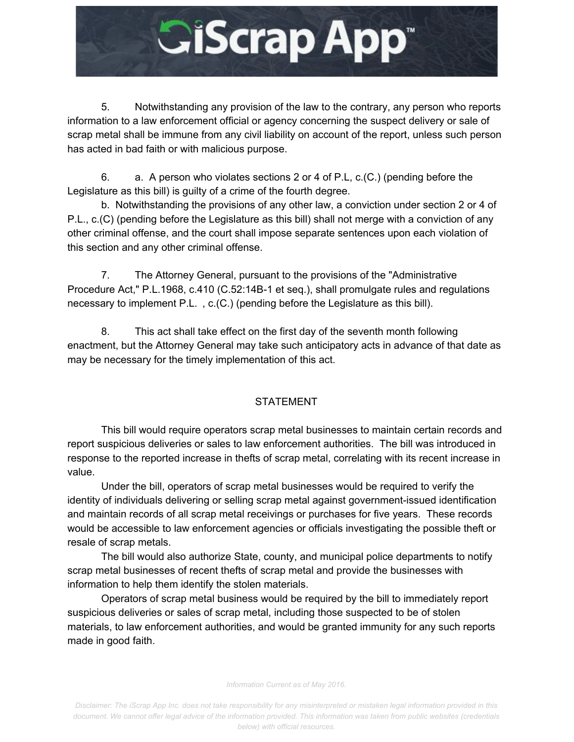

5. Notwithstanding any provision of the law to the contrary, any person who reports information to a law enforcement official or agency concerning the suspect delivery or sale of scrap metal shall be immune from any civil liability on account of the report, unless such person has acted in bad faith or with malicious purpose.

6. a. A person who violates sections 2 or 4 of P.L, c.(C.) (pending before the Legislature as this bill) is guilty of a crime of the fourth degree.

b. Notwithstanding the provisions of any other law, a conviction under section 2 or 4 of P.L., c.(C) (pending before the Legislature as this bill) shall not merge with a conviction of any other criminal offense, and the court shall impose separate sentences upon each violation of this section and any other criminal offense.

7. The Attorney General, pursuant to the provisions of the "Administrative Procedure Act," P.L.1968, c.410 (C.52:14B-1 et seq.), shall promulgate rules and regulations necessary to implement P.L. , c.(C.) (pending before the Legislature as this bill).

8. This act shall take effect on the first day of the seventh month following enactment, but the Attorney General may take such anticipatory acts in advance of that date as may be necessary for the timely implementation of this act.

# STATEMENT

This bill would require operators scrap metal businesses to maintain certain records and report suspicious deliveries or sales to law enforcement authorities. The bill was introduced in response to the reported increase in thefts of scrap metal, correlating with its recent increase in value.

Under the bill, operators of scrap metal businesses would be required to verify the identity of individuals delivering or selling scrap metal against government-issued identification and maintain records of all scrap metal receivings or purchases for five years. These records would be accessible to law enforcement agencies or officials investigating the possible theft or resale of scrap metals.

The bill would also authorize State, county, and municipal police departments to notify scrap metal businesses of recent thefts of scrap metal and provide the businesses with information to help them identify the stolen materials.

Operators of scrap metal business would be required by the bill to immediately report suspicious deliveries or sales of scrap metal, including those suspected to be of stolen materials, to law enforcement authorities, and would be granted immunity for any such reports made in good faith.

#### *Information Current as of May 2016.*

*Disclaimer: The iScrap App Inc. does not take responsibility for any misinterpreted or mistaken legal information provided in this document. We cannot offer legal advice of the information provided. This information was taken from public websites (credentials below) with official resources.*